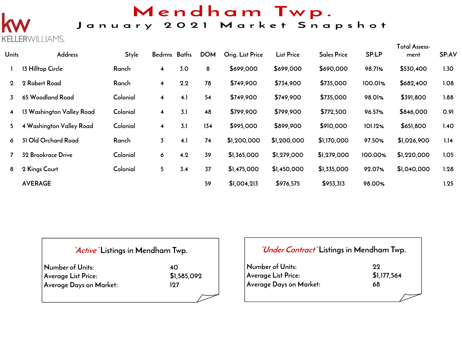## Mendham Twp.

### January 2021 Market Snapshot

# WILLIAMS.

| <b>Units</b> | Address                   | <b>Style</b> | Bedrms Baths            |     | <b>DOM</b> | Orig. List Price | <b>List Price</b> | <b>Sales Price</b> | SP:LP   | Total Assess-<br>ment | SP:AV |
|--------------|---------------------------|--------------|-------------------------|-----|------------|------------------|-------------------|--------------------|---------|-----------------------|-------|
|              | 13 Hilltop Circle         | Ranch        | 4                       | 3.0 | 8          | \$699,000        | \$699,000         | \$690,000          | 98.71%  | \$530,400             | 1.30  |
| $\mathbf 2$  | 2 Robert Road             | Ranch        | 4                       | 2.2 | 78         | \$749,900        | \$734,900         | \$735,000          | 100.01% | \$682,400             | 1.08  |
| 3            | 65 Woodland Road          | Colonial     | $\overline{\mathbf{4}}$ | 4.1 | 54         | \$749,900        | \$749,900         | \$735,000          | 98.01%  | \$391,800             | 1.88  |
| 4            | 13 Washington Valley Road | Colonial     | 4                       | 3.1 | 48         | \$799,900        | \$799,900         | \$772,500          | 96.57%  | \$846,000             | 0.91  |
| 5.           | 4 Washington Valley Road  | Colonial     | $\overline{\mathbf{4}}$ | 3.1 | 134        | \$995,000        | \$899,900         | \$910,000          | 101.12% | \$651,800             | 1.40  |
| 6            | 31 Old Orchard Road       | Ranch        | 3                       | 4.1 | 74         | \$1,200,000      | \$1,200,000       | \$1,170,000        | 97.50%  | \$1,026,900           | 1.14  |
|              | 32 Brookrace Drive        | Colonial     | 6                       | 4.2 | 39         | \$1,365,000      | \$1,279,000       | \$1,279,000        | 100.00% | \$1,220,000           | 1.05  |
| 8            | 2 Kings Court             | Colonial     | 5                       | 3.4 | 37         | \$1,475,000      | \$1,450,000       | \$1,335,000        | 92.07%  | \$1,040,000           | 1.28  |
|              | <b>AVERAGE</b>            |              |                         |     | 59         | \$1,004,213      | \$976,575         | \$953,313          | 98.00%  |                       | 1.25  |

#### **"Active" Listings in Mendham Twp.**

| Number of Units:        | 40          |
|-------------------------|-------------|
| Average List Price:     | \$1,585,092 |
| Average Days on Market: | 197         |

#### **"Under Contract" Listings in Mendham Twp.**

| Number of Units:        | 99          |
|-------------------------|-------------|
| Average List Price:     | \$1,177,564 |
| Average Days on Market: | 68          |
|                         |             |